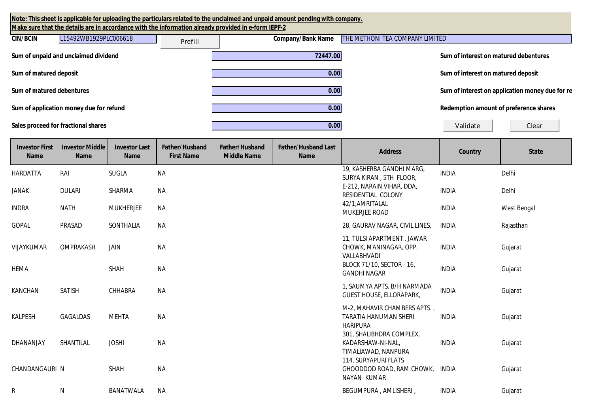| Note: This sheet is applicable for uploading the particulars related to the unclaimed and unpaid amount pending with company.<br>Make sure that the details are in accordance with the information already provided in e-form IEPF-2 |         |                          |                                 |                                       |                                                 |  |  |  |
|--------------------------------------------------------------------------------------------------------------------------------------------------------------------------------------------------------------------------------------|---------|--------------------------|---------------------------------|---------------------------------------|-------------------------------------------------|--|--|--|
| L15492WB1929PLC006618<br><b>CIN/BCIN</b>                                                                                                                                                                                             | Prefill | <b>Company/Bank Name</b> | THE METHONI TEA COMPANY LIMITED |                                       |                                                 |  |  |  |
| Sum of unpaid and unclaimed dividend                                                                                                                                                                                                 |         | 72447.00                 |                                 | Sum of interest on matured debentures |                                                 |  |  |  |
| Sum of matured deposit                                                                                                                                                                                                               |         | 0.00                     |                                 | Sum of interest on matured deposit    |                                                 |  |  |  |
| Sum of matured debentures                                                                                                                                                                                                            |         | 0.00                     |                                 |                                       | Sum of interest on application money due for re |  |  |  |
| Sum of application money due for refund                                                                                                                                                                                              |         | 0.00                     |                                 |                                       | Redemption amount of preference shares          |  |  |  |
| Sales proceed for fractional shares                                                                                                                                                                                                  |         | 0.00                     |                                 | Validate                              | Clear                                           |  |  |  |

| <b>Investor First</b><br><b>Name</b> | <b>Investor Middle</b><br><b>Name</b> | <b>Investor Last</b><br><b>Name</b> | <b>Father/Husband</b><br><b>First Name</b> | Father/Husband<br><b>Middle Name</b> | <b>Father/Husband Last</b><br><b>Name</b> | <b>Address</b>                                                                  | <b>Country</b> | <b>State</b> |
|--------------------------------------|---------------------------------------|-------------------------------------|--------------------------------------------|--------------------------------------|-------------------------------------------|---------------------------------------------------------------------------------|----------------|--------------|
| HARDATTA                             | RAI                                   | <b>SUGLA</b>                        | <b>NA</b>                                  |                                      |                                           | 19, KASHERBA GANDHI MARG,<br>SURYA KIRAN, 5TH FLOOR,                            | <b>INDIA</b>   | Delhi        |
| <b>JANAK</b>                         | <b>DULARI</b>                         | SHARMA                              | <b>NA</b>                                  |                                      |                                           | E-212, NARAIN VIHAR, DDA,<br><b>RESIDENTIAL COLONY</b>                          | <b>INDIA</b>   | Delhi        |
| <b>INDRA</b>                         | <b>NATH</b>                           | <b>MUKHERJEE</b>                    | <b>NA</b>                                  |                                      |                                           | 42/1, AMRITALAL<br>MUKERJEE ROAD                                                | <b>INDIA</b>   | West Bengal  |
| GOPAL                                | PRASAD                                | SONTHALIA                           | <b>NA</b>                                  |                                      |                                           | 28, GAURAV NAGAR, CIVIL LINES,                                                  | <b>INDIA</b>   | Rajasthan    |
| VIJAYKUMAR                           | OMPRAKASH                             | JAIN                                | <b>NA</b>                                  |                                      |                                           | 11, TULSI APARTMENT, JAWAR<br>CHOWK, MANINAGAR, OPP.<br><b>VALLABHVADI</b>      | <b>INDIA</b>   | Gujarat      |
| <b>HEMA</b>                          |                                       | SHAH                                | <b>NA</b>                                  |                                      |                                           | BLOCK 71/10, SECTOR - 16,<br><b>GANDHI NAGAR</b>                                | <b>INDIA</b>   | Gujarat      |
| KANCHAN                              | <b>SATISH</b>                         | CHHABRA                             | <b>NA</b>                                  |                                      |                                           | 1, SAUMYA APTS. B/H NARMADA<br><b>GUEST HOUSE, ELLORAPARK,</b>                  | <b>INDIA</b>   | Gujarat      |
| <b>KALPESH</b>                       | GAGALDAS                              | <b>MEHTA</b>                        | <b>NA</b>                                  |                                      |                                           | M-2, MAHAVIR CHAMBERS APTS.,<br><b>TARATIA HANUMAN SHERI</b><br><b>HARIPURA</b> | <b>INDIA</b>   | Gujarat      |
| <b>DHANANJAY</b>                     | SHANTILAL                             | <b>JOSHI</b>                        | <b>NA</b>                                  |                                      |                                           | 301, SHALIBHDRA COMPLEX,<br>KADARSHAW-NI-NAL,<br>TIMALIAWAD, NANPURA            | <b>INDIA</b>   | Gujarat      |
| CHANDANGAURI N                       |                                       | <b>SHAH</b>                         | <b>NA</b>                                  |                                      |                                           | 114, SURYAPURI FLATS<br>GHOODDOD ROAD, RAM CHOWK, INDIA<br>NAYAN-KUMAR          |                | Gujarat      |
| R                                    | ${\sf N}$                             | <b>BANATWALA</b>                    | <b>NA</b>                                  |                                      |                                           | BEGUMPURA, AMLISHERI,                                                           | <b>INDIA</b>   | Gujarat      |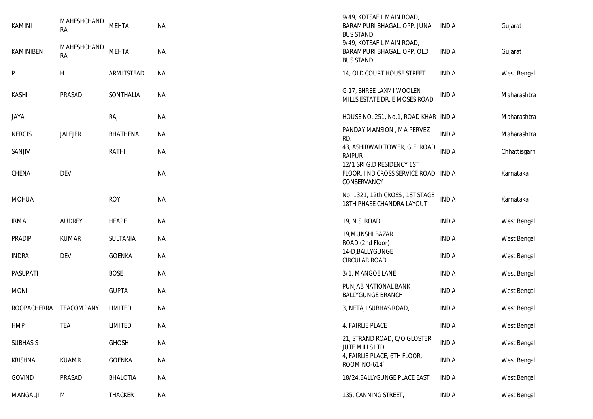| <b>KAMINI</b><br>KAMINIBEN | MAHESHCHAND<br><b>RA</b><br>MAHESHCHAND<br><b>RA</b> | <b>MEHTA</b><br><b>MEHTA</b> | <b>NA</b><br><b>NA</b> | 9/49, KOTSAFIL MAIN ROAD,<br>BARAMPURI BHAGAL, OPP. JUNA<br><b>BUS STAND</b><br>9/49, KOTSAFIL MAIN ROAD,<br>BARAMPURI BHAGAL, OPP. OLD<br><b>BUS STAND</b> | <b>INDIA</b><br><b>INDIA</b> | Gujarat<br>Gujarat |
|----------------------------|------------------------------------------------------|------------------------------|------------------------|-------------------------------------------------------------------------------------------------------------------------------------------------------------|------------------------------|--------------------|
| P                          | H                                                    | ARMITSTEAD                   | <b>NA</b>              | 14, OLD COURT HOUSE STREET                                                                                                                                  | <b>INDIA</b>                 | West Bengal        |
| <b>KASHI</b>               | PRASAD                                               | SONTHALIA                    | <b>NA</b>              | G-17, SHREE LAXMI WOOLEN<br>MILLS ESTATE DR. E MOSES ROAD,                                                                                                  | <b>INDIA</b>                 | Maharashtra        |
| <b>JAYA</b>                |                                                      | <b>RAJ</b>                   | <b>NA</b>              | HOUSE NO. 251, No.1, ROAD KHAR INDIA                                                                                                                        |                              | Maharashtra        |
| <b>NERGIS</b>              | JALEJER                                              | <b>BHATHENA</b>              | ΝA                     | PANDAY MANSION, MA PERVEZ<br>RD.                                                                                                                            | <b>INDIA</b>                 | Maharashtra        |
| SANJIV                     |                                                      | <b>RATHI</b>                 | ΝA                     | 43, ASHIRWAD TOWER, G.E. ROAD,<br><b>RAIPUR</b>                                                                                                             | <b>INDIA</b>                 | Chhattisgarh       |
| CHENA                      | <b>DEVI</b>                                          |                              | <b>NA</b>              | 12/1 SRI G.D RESIDENCY 1ST<br>FLOOR, IIND CROSS SERVICE ROAD, INDIA<br>CONSERVANCY                                                                          |                              | Karnataka          |
| <b>MOHUA</b>               |                                                      | <b>ROY</b>                   | <b>NA</b>              | No. 1321, 12th CROSS, 1ST STAGE<br>18TH PHASE CHANDRA LAYOUT                                                                                                | <b>INDIA</b>                 | Karnataka          |
| <b>IRMA</b>                | <b>AUDREY</b>                                        | HEAPE                        | <b>NA</b>              | 19, N.S. ROAD                                                                                                                                               | <b>INDIA</b>                 | West Bengal        |
| <b>PRADIP</b>              | <b>KUMAR</b>                                         | SULTANIA                     | NA                     | 19, MUNSHI BAZAR<br>ROAD,(2nd Floor)                                                                                                                        | <b>INDIA</b>                 | West Bengal        |
| <b>INDRA</b>               | <b>DEVI</b>                                          | <b>GOENKA</b>                | <b>NA</b>              | 14-D, BALLY GUNGE<br><b>CIRCULAR ROAD</b>                                                                                                                   | <b>INDIA</b>                 | West Bengal        |
| PASUPATI                   |                                                      | <b>BOSE</b>                  | <b>NA</b>              | 3/1, MANGOE LANE,                                                                                                                                           | <b>INDIA</b>                 | West Bengal        |
| <b>MONI</b>                |                                                      | <b>GUPTA</b>                 | NA                     | PUNJAB NATIONAL BANK<br><b>BALLYGUNGE BRANCH</b>                                                                                                            | <b>INDIA</b>                 | West Bengal        |
| <b>ROOPACHERRA</b>         | TEACOMPANY                                           | LIMITED                      | ΝA                     | 3, NETAJI SUBHAS ROAD,                                                                                                                                      | <b>INDIA</b>                 | West Bengal        |
| HMP                        | TEA                                                  | LIMITED                      | NA                     | 4, FAIRLIE PLACE                                                                                                                                            | <b>INDIA</b>                 | West Bengal        |
| <b>SUBHASIS</b>            |                                                      | <b>GHOSH</b>                 | <b>NA</b>              | 21, STRAND ROAD, C/O GLOSTER<br>JUTE MILLS LTD.                                                                                                             | <b>INDIA</b>                 | West Bengal        |
| <b>KRISHNA</b>             | <b>KUAMR</b>                                         | <b>GOENKA</b>                | <b>NA</b>              | 4, FAIRLIE PLACE, 6TH FLOOR,<br>ROOM NO-614                                                                                                                 | <b>INDIA</b>                 | West Bengal        |
| GOVIND                     | PRASAD                                               | <b>BHALOTIA</b>              | <b>NA</b>              | 18/24, BALLYGUNGE PLACE EAST                                                                                                                                | <b>INDIA</b>                 | West Bengal        |
| MANGALJI                   | M                                                    | THACKER                      | <b>NA</b>              | 135, CANNING STREET,                                                                                                                                        | <b>INDIA</b>                 | West Bengal        |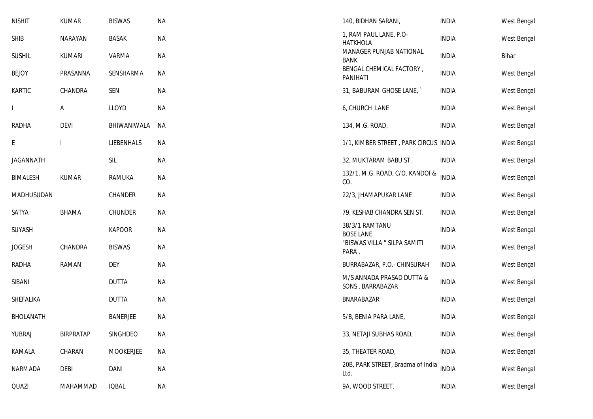| <b>NISHIT</b>    | <b>KUMAR</b>     | <b>BISWAS</b>   | <b>NA</b> | 140, BIDHAN SARANI,                           | <b>INDIA</b> | West Bengal |
|------------------|------------------|-----------------|-----------|-----------------------------------------------|--------------|-------------|
| <b>SHIB</b>      | NARAYAN          | <b>BASAK</b>    | <b>NA</b> | 1, RAM PAUL LANE, P.O-<br><b>HATKHOLA</b>     | <b>INDIA</b> | West Bengal |
| <b>SUSHIL</b>    | <b>KUMARI</b>    | VARMA           | <b>NA</b> | MANAGER PUNJAB NATIONAL<br><b>BANK</b>        | <b>INDIA</b> | Bihar       |
| <b>BEJOY</b>     | PRASANNA         | SENSHARMA       | <b>NA</b> | BENGAL CHEMICAL FACTORY,<br>PANIHATI          | <b>INDIA</b> | West Bengal |
| <b>KARTIC</b>    | CHANDRA          | SEN             | <b>NA</b> | 31, BABURAM GHOSE LANE,                       | <b>INDIA</b> | West Bengal |
| L                | A                | LLOYD           | <b>NA</b> | 6, CHURCH LANE                                | <b>INDIA</b> | West Bengal |
| RADHA            | <b>DEVI</b>      | BHIWANIWALA     | NА        | 134, M.G. ROAD,                               | <b>INDIA</b> | West Bengal |
| E                |                  | LIEBENHALS      | <b>NA</b> | 1/1, KIMBER STREET, PARK CIRCUS INDIA         |              | West Bengal |
| <b>JAGANNATH</b> |                  | <b>SIL</b>      | <b>NA</b> | 32, MUKTARAM BABU ST.                         | <b>INDIA</b> | West Bengal |
| <b>BIMALESH</b>  | <b>KUMAR</b>     | <b>RAMUKA</b>   | <b>NA</b> | 132/1, M.G. ROAD, C/O. KANDOI &<br>CO.        | <b>INDIA</b> | West Bengal |
| MADHUSUDAN       |                  | CHANDER         | <b>NA</b> | 22/3, JHAMAPUKAR LANE                         | <b>INDIA</b> | West Bengal |
| SATYA            | <b>BHAMA</b>     | <b>CHUNDER</b>  | <b>NA</b> | 79, KESHAB CHANDRA SEN ST.                    | <b>INDIA</b> | West Bengal |
| SUYASH           |                  | <b>KAPOOR</b>   | <b>NA</b> | 38/3/1 RAMTANU<br><b>BOSE LANE</b>            | <b>INDIA</b> | West Bengal |
| <b>JOGESH</b>    | CHANDRA          | <b>BISWAS</b>   | <b>NA</b> | "BISWAS VILLA " SILPA SAMITI<br>PARA,         | <b>INDIA</b> | West Bengal |
| <b>RADHA</b>     | RAMAN            | <b>DEY</b>      | <b>NA</b> | BURRABAZAR, P.O.- CHINSURAH                   | <b>INDIA</b> | West Bengal |
| SIBANI           |                  | <b>DUTTA</b>    | <b>NA</b> | M/S ANNADA PRASAD DUTTA &<br>SONS, BARRABAZAR | <b>INDIA</b> | West Bengal |
| SHEFALIKA        |                  | <b>DUTTA</b>    | <b>NA</b> | BNARABAZAR                                    | <b>INDIA</b> | West Bengal |
| BHOLANATH        |                  | <b>BANERJEE</b> | <b>NA</b> | 5/B, BENIA PARA LANE,                         | <b>INDIA</b> | West Bengal |
| YUBRAJ           | <b>BIRPRATAP</b> | SINGHDEO        | <b>NA</b> | 33, NETAJI SUBHAS ROAD,                       | <b>INDIA</b> | West Bengal |
| KAMALA           | CHARAN           | MOOKERJEE       | <b>NA</b> | 35, THEATER ROAD,                             | <b>INDIA</b> | West Bengal |
| NARMADA          | DEBI             | <b>DANI</b>     | <b>NA</b> | 20B, PARK STREET, Bradma of India<br>Ltd.     | <b>INDIA</b> | West Bengal |
| QUAZI            | MAHAMMAD         | <b>IQBAL</b>    | <b>NA</b> | 9A, WOOD STREET,                              | <b>INDIA</b> | West Bengal |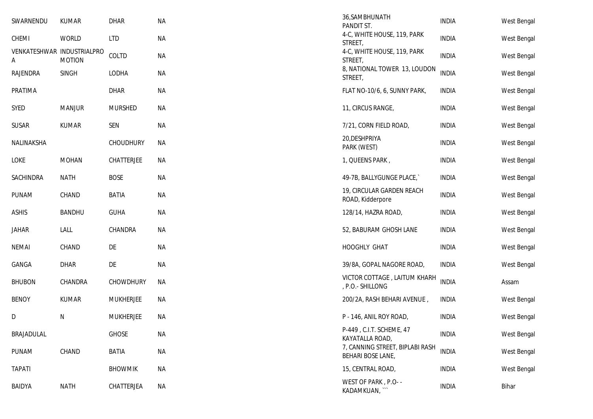| SWARNENDU                       | <b>KUMAR</b>  | <b>DHAR</b>      | <b>NA</b> | 36, SAMBHUNATH<br>PANDIT ST.                         | <b>INDIA</b> | West Bengal |
|---------------------------------|---------------|------------------|-----------|------------------------------------------------------|--------------|-------------|
| CHEMI                           | <b>WORLD</b>  | <b>LTD</b>       | <b>NA</b> | 4-C, WHITE HOUSE, 119, PARK<br>STREET,               | <b>INDIA</b> | West Bengal |
| VENKATESHWAR INDUSTRIALPRO<br>А | <b>MOTION</b> | COLTD            | <b>NA</b> | 4-C, WHITE HOUSE, 119, PARK<br>STREET,               | <b>INDIA</b> | West Bengal |
| <b>RAJENDRA</b>                 | <b>SINGH</b>  | LODHA            | <b>NA</b> | 8, NATIONAL TOWER 13, LOUDON<br>STREET,              | <b>INDIA</b> | West Bengal |
| PRATIMA                         |               | DHAR             | <b>NA</b> | FLAT NO-10/6, 6, SUNNY PARK,                         | <b>INDIA</b> | West Bengal |
| <b>SYED</b>                     | <b>MANJUR</b> | <b>MURSHED</b>   | <b>NA</b> | 11, CIRCUS RANGE,                                    | <b>INDIA</b> | West Bengal |
| <b>SUSAR</b>                    | <b>KUMAR</b>  | SEN              | <b>NA</b> | 7/21, CORN FIELD ROAD,                               | <b>INDIA</b> | West Bengal |
| NALINAKSHA                      |               | <b>CHOUDHURY</b> | NA        | 20, DESHPRIYA<br>PARK (WEST)                         | <b>INDIA</b> | West Bengal |
| LOKE                            | <b>MOHAN</b>  | CHATTERJEE       | NA        | 1, QUEENS PARK,                                      | <b>INDIA</b> | West Bengal |
| SACHINDRA                       | <b>NATH</b>   | <b>BOSE</b>      | <b>NA</b> | 49-7B, BALLYGUNGE PLACE,                             | <b>INDIA</b> | West Bengal |
| PUNAM                           | CHAND         | <b>BATIA</b>     | <b>NA</b> | 19, CIRCULAR GARDEN REACH<br>ROAD, Kidderpore        | <b>INDIA</b> | West Bengal |
| <b>ASHIS</b>                    | <b>BANDHU</b> | <b>GUHA</b>      | <b>NA</b> | 128/14, HAZRA ROAD,                                  | <b>INDIA</b> | West Bengal |
| JAHAR                           | LALL          | CHANDRA          | <b>NA</b> | 52, BABURAM GHOSH LANE                               | <b>INDIA</b> | West Bengal |
| <b>NEMAI</b>                    | CHAND         | DE               | <b>NA</b> | HOOGHLY GHAT                                         | <b>INDIA</b> | West Bengal |
| GANGA                           | <b>DHAR</b>   | DE               | <b>NA</b> | 39/8A, GOPAL NAGORE ROAD,                            | <b>INDIA</b> | West Bengal |
| <b>BHUBON</b>                   | CHANDRA       | CHOWDHURY        | <b>NA</b> | VICTOR COTTAGE, LAITUM KHARH<br>, P.O.- SHILLONG     | <b>INDIA</b> | Assam       |
| <b>BENOY</b>                    | <b>KUMAR</b>  | <b>MUKHERJEE</b> | NA        | 200/2A, RASH BEHARI AVENUE,                          | <b>INDIA</b> | West Bengal |
| D                               | Ν             | <b>MUKHERJEE</b> | <b>NA</b> | P - 146, ANIL ROY ROAD,                              | <b>INDIA</b> | West Bengal |
| <b>BRAJADULAL</b>               |               | <b>GHOSE</b>     | <b>NA</b> | P-449, C.I.T. SCHEME, 47<br>KAYATALLA ROAD,          | <b>INDIA</b> | West Bengal |
| PUNAM                           | CHAND         | BATIA            | <b>NA</b> | 7, CANNING STREET, BIPLABI RASH<br>BEHARI BOSE LANE, | <b>INDIA</b> | West Bengal |
| <b>TAPATI</b>                   |               | <b>BHOWMIK</b>   | <b>NA</b> | 15, CENTRAL ROAD,                                    | <b>INDIA</b> | West Bengal |
| <b>BAIDYA</b>                   | <b>NATH</b>   | CHATTERJEA       | <b>NA</b> | WEST OF PARK, P.O- -<br>KADAMKUAN, ``                | <b>INDIA</b> | Bihar       |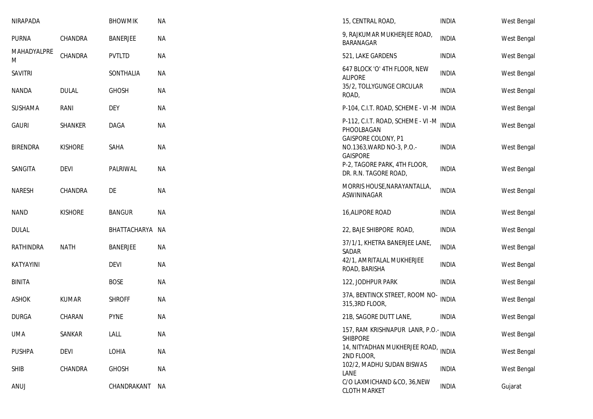| NIRAPADA         |                | <b>BHOWMIK</b>  | NA        | 15, CENTRAL ROAD,                                                          | <b>INDIA</b> | West Bengal        |
|------------------|----------------|-----------------|-----------|----------------------------------------------------------------------------|--------------|--------------------|
| <b>PURNA</b>     | CHANDRA        | <b>BANERJEE</b> | <b>NA</b> | 9, RAJKUMAR MUKHERJEE ROAD,<br><b>BARANAGAR</b>                            | <b>INDIA</b> | West Bengal        |
| MAHADYALPRE<br>M | CHANDRA        | PVTLTD          | <b>NA</b> | 521, LAKE GARDENS                                                          | <b>INDIA</b> | West Bengal        |
| <b>SAVITRI</b>   |                | SONTHALIA       | ΝA        | 647 BLOCK 'O' 4TH FLOOR, NEW<br><b>ALIPORE</b>                             | <b>INDIA</b> | West Bengal        |
| <b>NANDA</b>     | <b>DULAL</b>   | <b>GHOSH</b>    | <b>NA</b> | 35/2, TOLLYGUNGE CIRCULAR<br>ROAD,                                         | <b>INDIA</b> | West Bengal        |
| SUSHAMA          | RANI           | <b>DEY</b>      | <b>NA</b> | P-104, C.I.T. ROAD, SCHEME - VI -M INDIA                                   |              | West Bengal        |
| <b>GAURI</b>     | SHANKER        | DAGA            | <b>NA</b> | P-112, C.I.T. ROAD, SCHEME - VI -M INDIA<br>PHOOLBAGAN                     |              | West Bengal        |
| <b>BIRENDRA</b>  | <b>KISHORE</b> | SAHA            | <b>NA</b> | <b>GAISPORE COLONY, P1</b><br>NO.1363, WARD NO-3, P.O.-<br><b>GAISPORE</b> | <b>INDIA</b> | West Bengal        |
| SANGITA          | <b>DEVI</b>    | PALRIWAL        | <b>NA</b> | P-2, TAGORE PARK, 4TH FLOOR,<br>DR. R.N. TAGORE ROAD,                      | <b>INDIA</b> | West Bengal        |
| <b>NARESH</b>    | CHANDRA        | DE              | <b>NA</b> | MORRIS HOUSE, NARAYANTALLA,<br>ASWININAGAR                                 | <b>INDIA</b> | West Bengal        |
| <b>NAND</b>      | <b>KISHORE</b> | <b>BANGUR</b>   | <b>NA</b> | 16, ALIPORE ROAD                                                           | <b>INDIA</b> | West Bengal        |
| <b>DULAL</b>     |                | BHATTACHARYA NA |           | 22, BAJE SHIBPORE ROAD,                                                    | <b>INDIA</b> | West Bengal        |
| RATHINDRA        | <b>NATH</b>    | <b>BANERJEE</b> | <b>NA</b> | 37/1/1, KHETRA BANERJEE LANE,<br>SADAR                                     | <b>INDIA</b> | West Bengal        |
| KATYAYINI        |                | <b>DEVI</b>     | <b>NA</b> | 42/1, AMRITALAL MUKHERJEE<br>ROAD, BARISHA                                 | <b>INDIA</b> | West Bengal        |
| <b>BINITA</b>    |                | <b>BOSE</b>     | <b>NA</b> | 122, JODHPUR PARK                                                          | <b>INDIA</b> | West Bengal        |
| <b>ASHOK</b>     | <b>KUMAR</b>   | <b>SHROFF</b>   | NA        | 37A, BENTINCK STREET, ROOM NO-<br>315,3RD FLOOR,                           | <b>INDIA</b> | <b>West Bengal</b> |
| <b>DURGA</b>     | CHARAN         | <b>PYNE</b>     | <b>NA</b> | 21B, SAGORE DUTT LANE,                                                     | <b>INDIA</b> | West Bengal        |
| UMA              | SANKAR         | LALL            | ΝA        | 157, RAM KRISHNAPUR LANR, P.O.- INDIA<br><b>SHIBPORE</b>                   |              | West Bengal        |
| <b>PUSHPA</b>    | <b>DEVI</b>    | LOHIA           | <b>NA</b> | 14, NITYADHAN MUKHERJEE ROAD,<br>2ND FLOOR,                                | <b>INDIA</b> | West Bengal        |
| <b>SHIB</b>      | CHANDRA        | <b>GHOSH</b>    | <b>NA</b> | 102/2, MADHU SUDAN BISWAS<br>LANE                                          | <b>INDIA</b> | West Bengal        |
| ANUJ             |                | CHANDRAKANT     | NА        | C/O LAXMICHAND &CO, 36, NEW<br><b>CLOTH MARKET</b>                         | <b>INDIA</b> | Gujarat            |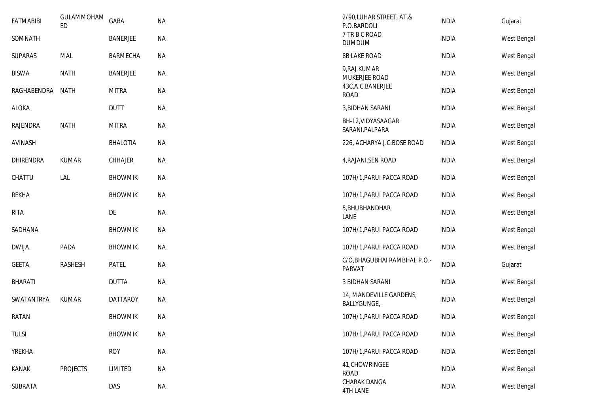| <b>FATMABIBI</b> | GULAMMOHAM<br><b>ED</b> | GABA            | <b>NA</b> | 2/90, LUHAR STREET, AT.&<br>P.O.BARDOLI        | <b>INDIA</b> | Gujarat     |
|------------------|-------------------------|-----------------|-----------|------------------------------------------------|--------------|-------------|
| SOMNATH          |                         | <b>BANERJEE</b> | <b>NA</b> | 7 TR B C ROAD<br><b>DUMDUM</b>                 | <b>INDIA</b> | West Bengal |
| <b>SUPARAS</b>   | <b>MAL</b>              | BARMECHA        | <b>NA</b> | <b>8B LAKE ROAD</b>                            | <b>INDIA</b> | West Bengal |
| <b>BISWA</b>     | <b>NATH</b>             | <b>BANERJEE</b> | <b>NA</b> | 9, RAJ KUMAR<br>MUKERJEE ROAD                  | <b>INDIA</b> | West Bengal |
| RAGHABENDRA      | NATH                    | <b>MITRA</b>    | <b>NA</b> | 43C, A.C. BANERJEE<br><b>ROAD</b>              | <b>INDIA</b> | West Bengal |
| <b>ALOKA</b>     |                         | <b>DUTT</b>     | <b>NA</b> | 3, BIDHAN SARANI                               | <b>INDIA</b> | West Bengal |
| RAJENDRA         | <b>NATH</b>             | <b>MITRA</b>    | <b>NA</b> | BH-12, VIDYASAAGAR<br>SARANI, PALPARA          | <b>INDIA</b> | West Bengal |
| AVINASH          |                         | <b>BHALOTIA</b> | <b>NA</b> | 226, ACHARYA J.C.BOSE ROAD                     | <b>INDIA</b> | West Bengal |
| <b>DHIRENDRA</b> | <b>KUMAR</b>            | CHHAJER         | <b>NA</b> | 4, RAJANI. SEN ROAD                            | <b>INDIA</b> | West Bengal |
| CHATTU           | LAL                     | <b>BHOWMIK</b>  | <b>NA</b> | 107H/1, PARUI PACCA ROAD                       | <b>INDIA</b> | West Bengal |
| <b>REKHA</b>     |                         | <b>BHOWMIK</b>  | <b>NA</b> | 107H/1, PARUI PACCA ROAD                       | <b>INDIA</b> | West Bengal |
| <b>RITA</b>      |                         | DE              | <b>NA</b> | 5, BHUBHANDHAR<br>LANE                         | <b>INDIA</b> | West Bengal |
| SADHANA          |                         | <b>BHOWMIK</b>  | <b>NA</b> | 107H/1, PARUI PACCA ROAD                       | <b>INDIA</b> | West Bengal |
| <b>DWIJA</b>     | PADA                    | <b>BHOWMIK</b>  | <b>NA</b> | 107H/1, PARUI PACCA ROAD                       | <b>INDIA</b> | West Bengal |
| <b>GEETA</b>     | RASHESH                 | <b>PATEL</b>    | <b>NA</b> | C/O, BHAGUBHAI RAMBHAI, P.O.-<br><b>PARVAT</b> | <b>INDIA</b> | Gujarat     |
| <b>BHARATI</b>   |                         | <b>DUTTA</b>    | <b>NA</b> | <b>3 BIDHAN SARANI</b>                         | <b>INDIA</b> | West Bengal |
| SWATANTRYA       | <b>KUMAR</b>            | <b>DATTAROY</b> | <b>NA</b> | 14, MANDEVILLE GARDENS,<br>BALLYGUNGE,         | <b>INDIA</b> | West Bengal |
| RATAN            |                         | <b>BHOWMIK</b>  | <b>NA</b> | 107H/1, PARUI PACCA ROAD                       | <b>INDIA</b> | West Bengal |
| <b>TULSI</b>     |                         | <b>BHOWMIK</b>  | <b>NA</b> | 107H/1, PARUI PACCA ROAD                       | <b>INDIA</b> | West Bengal |
| <b>YREKHA</b>    |                         | <b>ROY</b>      | <b>NA</b> | 107H/1, PARUI PACCA ROAD                       | <b>INDIA</b> | West Bengal |
| KANAK            | <b>PROJECTS</b>         | LIMITED         | <b>NA</b> | 41, CHOWRINGEE<br><b>ROAD</b>                  | <b>INDIA</b> | West Bengal |
| SUBRATA          |                         | DAS             | <b>NA</b> | CHARAK DANGA<br><b>4TH LANE</b>                | <b>INDIA</b> | West Bengal |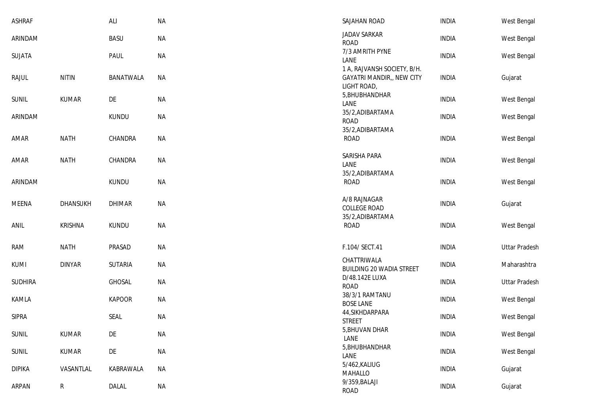| <b>ASHRAF</b>  |                 | <b>ALI</b>       | <b>NA</b> | SAJAHAN ROAD                                                                   | <b>INDIA</b> | West Bengal          |
|----------------|-----------------|------------------|-----------|--------------------------------------------------------------------------------|--------------|----------------------|
| ARINDAM        |                 | <b>BASU</b>      | <b>NA</b> | JADAV SARKAR<br><b>ROAD</b>                                                    | <b>INDIA</b> | West Bengal          |
| SUJATA         |                 | PAUL             | <b>NA</b> | 7/3 AMRITH PYNE<br>LANE                                                        | <b>INDIA</b> | West Bengal          |
| RAJUL          | <b>NITIN</b>    | <b>BANATWALA</b> | <b>NA</b> | 1 A, RAJVANSH SOCIETY, B/H.<br><b>GAYATRI MANDIR,, NEW CITY</b><br>LIGHT ROAD, | <b>INDIA</b> | Gujarat              |
| <b>SUNIL</b>   | <b>KUMAR</b>    | DE               | <b>NA</b> | 5, BHUBHANDHAR<br>LANE                                                         | <b>INDIA</b> | West Bengal          |
| ARINDAM        |                 | <b>KUNDU</b>     | <b>NA</b> | 35/2, ADIBARTAMA<br><b>ROAD</b><br>35/2, ADIBARTAMA                            | <b>INDIA</b> | West Bengal          |
| AMAR           | <b>NATH</b>     | CHANDRA          | <b>NA</b> | <b>ROAD</b>                                                                    | <b>INDIA</b> | West Bengal          |
| AMAR           | <b>NATH</b>     | CHANDRA          | <b>NA</b> | SARISHA PARA<br>LANE<br>35/2, ADIBARTAMA                                       | <b>INDIA</b> | West Bengal          |
| ARINDAM        |                 | <b>KUNDU</b>     | <b>NA</b> | <b>ROAD</b>                                                                    | <b>INDIA</b> | West Bengal          |
| MEENA          | <b>DHANSUKH</b> | <b>DHIMAR</b>    | <b>NA</b> | A/8 RAJNAGAR<br><b>COLLEGE ROAD</b>                                            | <b>INDIA</b> | Gujarat              |
| ANIL           | <b>KRISHNA</b>  | <b>KUNDU</b>     | <b>NA</b> | 35/2, ADIBARTAMA<br>ROAD                                                       | <b>INDIA</b> | West Bengal          |
| RAM            | <b>NATH</b>     | PRASAD           | <b>NA</b> | F.104/ SECT.41                                                                 | <b>INDIA</b> | <b>Uttar Pradesh</b> |
| KUMI           | <b>DINYAR</b>   | <b>SUTARIA</b>   | <b>NA</b> | CHATTRIWALA<br>BUILDING 20 WADIA STREET                                        | <b>INDIA</b> | Maharashtra          |
| <b>SUDHIRA</b> |                 | GHOSAL           | <b>NA</b> | D/48.142E LUXA<br><b>ROAD</b>                                                  | <b>INDIA</b> | <b>Uttar Pradesh</b> |
| <b>KAMLA</b>   |                 | <b>KAPOOR</b>    | <b>NA</b> | 38/3/1 RAMTANU<br><b>BOSE LANE</b>                                             | <b>INDIA</b> | West Bengal          |
| <b>SIPRA</b>   |                 | SEAL             | <b>NA</b> | 44, SIKHDARPARA<br><b>STREET</b>                                               | <b>INDIA</b> | West Bengal          |
| <b>SUNIL</b>   | KUMAR           | DE               | NA        | 5, BHUVAN DHAR<br>LANE                                                         | <b>INDIA</b> | West Bengal          |
| <b>SUNIL</b>   | KUMAR           | DE               | <b>NA</b> | 5, BHUBHANDHAR<br>LANE                                                         | <b>INDIA</b> | West Bengal          |
| <b>DIPIKA</b>  | VASANTLAL       | KABRAWALA        | <b>NA</b> | 5/462, KALIUG<br>MAHALLO                                                       | <b>INDIA</b> | Gujarat              |
| ARPAN          | $\mathsf{R}$    | DALAL            | NA        | 9/359, BALAJI<br>ROAD                                                          | <b>INDIA</b> | Gujarat              |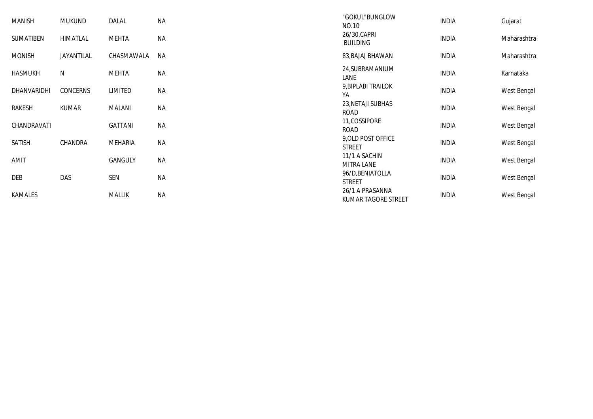| MANISH         | <b>MUKUND</b> | DALAL          | <b>NA</b> | "GOKUL"BUNGLOW<br>NO.10                | <b>INDIA</b> | Gujarat     |
|----------------|---------------|----------------|-----------|----------------------------------------|--------------|-------------|
| SUMATIBEN      | HIMATLAL      | MEHTA          | ΝA        | 26/30, CAPRI<br><b>BUILDING</b>        | <b>INDIA</b> | Maharashtra |
| <b>MONISH</b>  | JAYANTILAL    | CHASMAWALA     | <b>NA</b> | 83, BAJAJ BHAWAN                       | <b>INDIA</b> | Maharashtra |
| <b>HASMUKH</b> | N             | <b>MEHTA</b>   | <b>NA</b> | 24, SUBRAMANIUM<br>LANE                | <b>INDIA</b> | Karnataka   |
| DHANVARIDHI    | CONCERNS      | LIMITED        | <b>NA</b> | 9, BIPLABI TRAILOK<br>YA               | <b>INDIA</b> | West Bengal |
| RAKESH         | <b>KUMAR</b>  | MALANI         | <b>NA</b> | 23, NETAJI SUBHAS<br><b>ROAD</b>       | <b>INDIA</b> | West Bengal |
| CHANDRAVATI    |               | <b>GATTANI</b> | <b>NA</b> | 11, COSSIPORE<br>ROAD                  | <b>INDIA</b> | West Bengal |
| SATISH         | CHANDRA       | MEHARIA        | <b>NA</b> | 9, OLD POST OFFICE<br><b>STREET</b>    | <b>INDIA</b> | West Bengal |
| AMIT           |               | <b>GANGULY</b> | NА        | 11/1 A SACHIN<br><b>MITRA LANE</b>     | <b>INDIA</b> | West Bengal |
| DEB            | DAS           | SEN            | <b>NA</b> | 96/D, BENIATOLLA<br><b>STREET</b>      | <b>INDIA</b> | West Bengal |
| KAMALES        |               | <b>MALLIK</b>  | <b>NA</b> | 26/1 A PRASANNA<br>KUMAR TAGORE STREET | <b>INDIA</b> | West Bengal |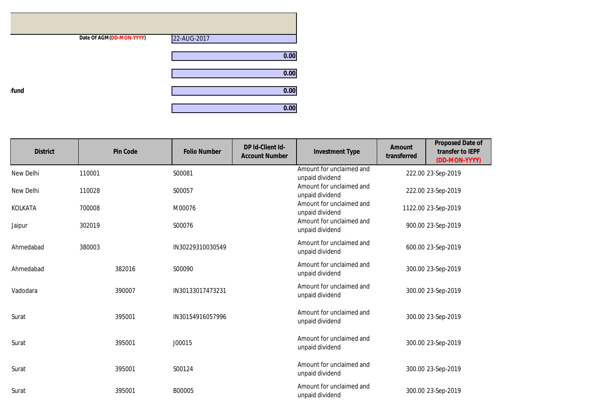|      | Date Of AGM(DD-MON-YYYY) | 22-AUG-2017 |
|------|--------------------------|-------------|
|      |                          | 0.00        |
|      |                          | 0.00        |
| fund |                          | 0.00        |
|      |                          | 0.00        |

| <b>District</b> | <b>Pin Code</b> | <b>Folio Number</b> | DP Id-Client Id-<br><b>Account Number</b> | <b>Investment Type</b>                      | <b>Amount</b><br>transferred | <b>Proposed Date of</b><br>transfer to IEPF<br>(DD-MON-YYYY) |
|-----------------|-----------------|---------------------|-------------------------------------------|---------------------------------------------|------------------------------|--------------------------------------------------------------|
| New Delhi       | 110001          | S00081              |                                           | Amount for unclaimed and<br>unpaid dividend |                              | 222.00 23-Sep-2019                                           |
| New Delhi       | 110028          | S00057              |                                           | Amount for unclaimed and<br>unpaid dividend |                              | 222.00 23-Sep-2019                                           |
| <b>KOLKATA</b>  | 700008          | M00076              |                                           | Amount for unclaimed and<br>unpaid dividend |                              | 1122.00 23-Sep-2019                                          |
| Jaipur          | 302019          | S00076              |                                           | Amount for unclaimed and<br>unpaid dividend |                              | 900.00 23-Sep-2019                                           |
| Ahmedabad       | 380003          | IN30229310030549    |                                           | Amount for unclaimed and<br>unpaid dividend |                              | 600.00 23-Sep-2019                                           |
| Ahmedabad       | 382016          | S00090              |                                           | Amount for unclaimed and<br>unpaid dividend |                              | 300.00 23-Sep-2019                                           |
| Vadodara        | 390007          | IN30133017473231    |                                           | Amount for unclaimed and<br>unpaid dividend |                              | 300.00 23-Sep-2019                                           |
| Surat           | 395001          | IN30154916057996    |                                           | Amount for unclaimed and<br>unpaid dividend |                              | 300.00 23-Sep-2019                                           |
| Surat           | 395001          | J00015              |                                           | Amount for unclaimed and<br>unpaid dividend |                              | 300.00 23-Sep-2019                                           |
| Surat           | 395001          | S00124              |                                           | Amount for unclaimed and<br>unpaid dividend |                              | 300.00 23-Sep-2019                                           |
| Surat           | 395001          | B00005              |                                           | Amount for unclaimed and<br>unpaid dividend |                              | 300.00 23-Sep-2019                                           |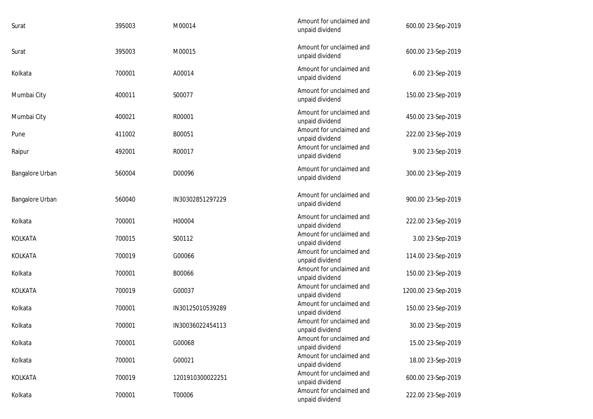| Surat           | 395003 | M00014           | Amount for unclaimed and<br>unpaid dividend | 600.00 23-Sep-2019  |
|-----------------|--------|------------------|---------------------------------------------|---------------------|
| Surat           | 395003 | M00015           | Amount for unclaimed and<br>unpaid dividend | 600.00 23-Sep-2019  |
| Kolkata         | 700001 | A00014           | Amount for unclaimed and<br>unpaid dividend | 6.00 23-Sep-2019    |
| Mumbai City     | 400011 | S00077           | Amount for unclaimed and<br>unpaid dividend | 150.00 23-Sep-2019  |
| Mumbai City     | 400021 | R00001           | Amount for unclaimed and<br>unpaid dividend | 450.00 23-Sep-2019  |
| Pune            | 411002 | B00051           | Amount for unclaimed and<br>unpaid dividend | 222.00 23-Sep-2019  |
| Raipur          | 492001 | R00017           | Amount for unclaimed and<br>unpaid dividend | 9.00 23-Sep-2019    |
| Bangalore Urban | 560004 | D00096           | Amount for unclaimed and<br>unpaid dividend | 300.00 23-Sep-2019  |
| Bangalore Urban | 560040 | IN30302851297229 | Amount for unclaimed and<br>unpaid dividend | 900.00 23-Sep-2019  |
| Kolkata         | 700001 | H00004           | Amount for unclaimed and<br>unpaid dividend | 222.00 23-Sep-2019  |
| KOLKATA         | 700015 | S00112           | Amount for unclaimed and<br>unpaid dividend | 3.00 23-Sep-2019    |
| KOLKATA         | 700019 | G00066           | Amount for unclaimed and<br>unpaid dividend | 114.00 23-Sep-2019  |
| Kolkata         | 700001 | B00066           | Amount for unclaimed and<br>unpaid dividend | 150.00 23-Sep-2019  |
| <b>KOLKATA</b>  | 700019 | G00037           | Amount for unclaimed and<br>unpaid dividend | 1200.00 23-Sep-2019 |
| Kolkata         | 700001 | IN30125010539289 | Amount for unclaimed and<br>unpaid dividend | 150.00 23-Sep-2019  |
| Kolkata         | 700001 | IN30036022454113 | Amount for unclaimed and<br>unpaid dividend | 30.00 23-Sep-2019   |
| Kolkata         | 700001 | G00068           | Amount for unclaimed and<br>unpaid dividend | 15.00 23-Sep-2019   |
| Kolkata         | 700001 | G00021           | Amount for unclaimed and<br>unpaid dividend | 18.00 23-Sep-2019   |
| KOLKATA         | 700019 | 1201910300022251 | Amount for unclaimed and<br>unpaid dividend | 600.00 23-Sep-2019  |
| Kolkata         | 700001 | T00006           | Amount for unclaimed and<br>unpaid dividend | 222.00 23-Sep-2019  |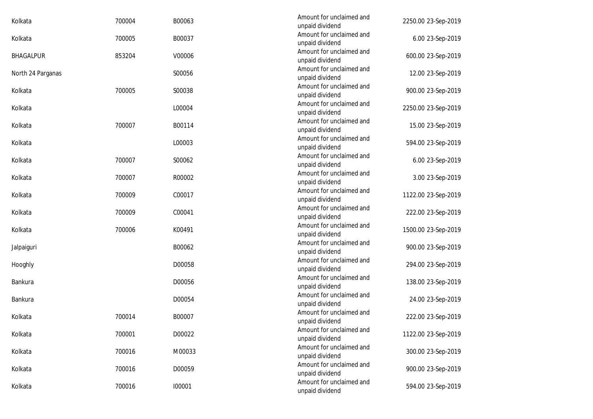| 700004 | B00063 | Amount for unclaimed and                    | 2250.00 23-Sep-2019                                   |
|--------|--------|---------------------------------------------|-------------------------------------------------------|
| 700005 | B00037 | Amount for unclaimed and                    | 6.00 23-Sep-2019                                      |
| 853204 | V00006 | Amount for unclaimed and                    | 600.00 23-Sep-2019                                    |
|        | S00056 | Amount for unclaimed and<br>unpaid dividend | 12.00 23-Sep-2019                                     |
| 700005 | S00038 | Amount for unclaimed and<br>unpaid dividend | 900.00 23-Sep-2019                                    |
|        | L00004 | Amount for unclaimed and<br>unpaid dividend | 2250.00 23-Sep-2019                                   |
| 700007 | B00114 | Amount for unclaimed and<br>unpaid dividend | 15.00 23-Sep-2019                                     |
|        | L00003 | Amount for unclaimed and<br>unpaid dividend | 594.00 23-Sep-2019                                    |
| 700007 | S00062 | Amount for unclaimed and<br>unpaid dividend | 6.00 23-Sep-2019                                      |
| 700007 | R00002 | Amount for unclaimed and<br>unpaid dividend | 3.00 23-Sep-2019                                      |
| 700009 | C00017 | Amount for unclaimed and<br>unpaid dividend | 1122.00 23-Sep-2019                                   |
| 700009 | C00041 | Amount for unclaimed and<br>unpaid dividend | 222.00 23-Sep-2019                                    |
| 700006 | K00491 | Amount for unclaimed and<br>unpaid dividend | 1500.00 23-Sep-2019                                   |
|        | B00062 | Amount for unclaimed and<br>unpaid dividend | 900.00 23-Sep-2019                                    |
|        | D00058 | Amount for unclaimed and<br>unpaid dividend | 294.00 23-Sep-2019                                    |
|        | D00056 | Amount for unclaimed and<br>unpaid dividend | 138.00 23-Sep-2019                                    |
|        | D00054 | Amount for unclaimed and<br>unpaid dividend | 24.00 23-Sep-2019                                     |
| 700014 | B00007 | Amount for unclaimed and<br>unpaid dividend | 222.00 23-Sep-2019                                    |
| 700001 | D00022 | Amount for unclaimed and<br>unpaid dividend | 1122.00 23-Sep-2019                                   |
| 700016 | M00033 | Amount for unclaimed and<br>unpaid dividend | 300.00 23-Sep-2019                                    |
| 700016 | D00059 | Amount for unclaimed and<br>unpaid dividend | 900.00 23-Sep-2019                                    |
| 700016 | 100001 | Amount for unclaimed and<br>unpaid dividend | 594.00 23-Sep-2019                                    |
|        |        |                                             | unpaid dividend<br>unpaid dividend<br>unpaid dividend |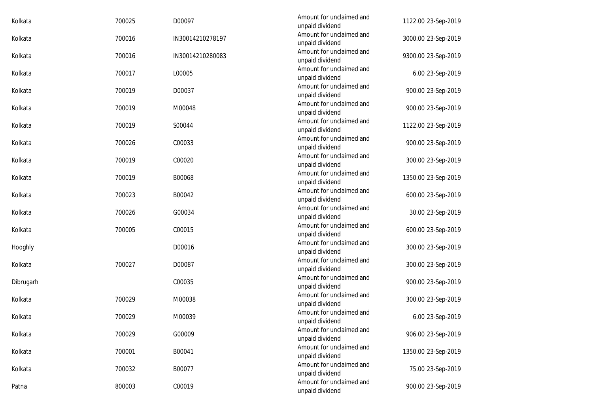| Kolkata   | 700025 | D00097           | Amount for unclaimed and<br>unpaid dividend | 1122.00 23-Sep-2019 |
|-----------|--------|------------------|---------------------------------------------|---------------------|
| Kolkata   | 700016 | IN30014210278197 | Amount for unclaimed and<br>unpaid dividend | 3000.00 23-Sep-2019 |
| Kolkata   | 700016 | IN30014210280083 | Amount for unclaimed and<br>unpaid dividend | 9300.00 23-Sep-2019 |
| Kolkata   | 700017 | L00005           | Amount for unclaimed and<br>unpaid dividend | 6.00 23-Sep-2019    |
| Kolkata   | 700019 | D00037           | Amount for unclaimed and<br>unpaid dividend | 900.00 23-Sep-2019  |
| Kolkata   | 700019 | M00048           | Amount for unclaimed and<br>unpaid dividend | 900.00 23-Sep-2019  |
| Kolkata   | 700019 | S00044           | Amount for unclaimed and<br>unpaid dividend | 1122.00 23-Sep-2019 |
| Kolkata   | 700026 | C00033           | Amount for unclaimed and<br>unpaid dividend | 900.00 23-Sep-2019  |
| Kolkata   | 700019 | C00020           | Amount for unclaimed and<br>unpaid dividend | 300.00 23-Sep-2019  |
| Kolkata   | 700019 | B00068           | Amount for unclaimed and<br>unpaid dividend | 1350.00 23-Sep-2019 |
| Kolkata   | 700023 | B00042           | Amount for unclaimed and<br>unpaid dividend | 600.00 23-Sep-2019  |
| Kolkata   | 700026 | G00034           | Amount for unclaimed and<br>unpaid dividend | 30.00 23-Sep-2019   |
| Kolkata   | 700005 | C00015           | Amount for unclaimed and<br>unpaid dividend | 600.00 23-Sep-2019  |
| Hooghly   |        | D00016           | Amount for unclaimed and<br>unpaid dividend | 300.00 23-Sep-2019  |
| Kolkata   | 700027 | D00087           | Amount for unclaimed and<br>unpaid dividend | 300.00 23-Sep-2019  |
| Dibrugarh |        | C00035           | Amount for unclaimed and<br>unpaid dividend | 900.00 23-Sep-2019  |
| Kolkata   | 700029 | M00038           | Amount for unclaimed and<br>unpaid dividend | 300.00 23-Sep-2019  |
| Kolkata   | 700029 | M00039           | Amount for unclaimed and<br>unpaid dividend | 6.00 23-Sep-2019    |
| Kolkata   | 700029 | G00009           | Amount for unclaimed and<br>unpaid dividend | 906.00 23-Sep-2019  |
| Kolkata   | 700001 | B00041           | Amount for unclaimed and<br>unpaid dividend | 1350.00 23-Sep-2019 |
| Kolkata   | 700032 | B00077           | Amount for unclaimed and<br>unpaid dividend | 75.00 23-Sep-2019   |
| Patna     | 800003 | C00019           | Amount for unclaimed and<br>unpaid dividend | 900.00 23-Sep-2019  |
|           |        |                  |                                             |                     |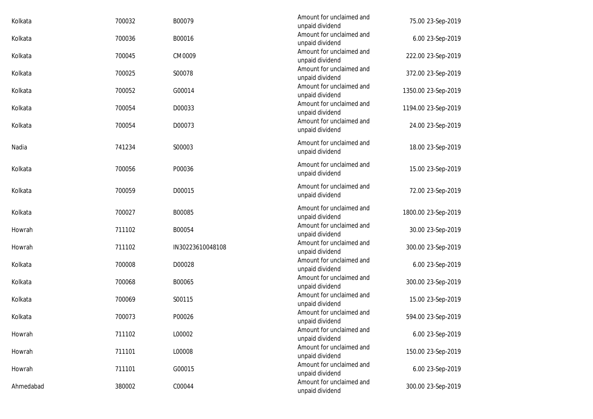| Kolkata   | 700032 | B00079           | Amount for unclaimed and<br>unpaid dividend | 75.00 23-Sep-2019   |
|-----------|--------|------------------|---------------------------------------------|---------------------|
| Kolkata   | 700036 | B00016           | Amount for unclaimed and<br>unpaid dividend | 6.00 23-Sep-2019    |
| Kolkata   | 700045 | CM0009           | Amount for unclaimed and<br>unpaid dividend | 222.00 23-Sep-2019  |
| Kolkata   | 700025 | S00078           | Amount for unclaimed and<br>unpaid dividend | 372.00 23-Sep-2019  |
| Kolkata   | 700052 | G00014           | Amount for unclaimed and<br>unpaid dividend | 1350.00 23-Sep-2019 |
| Kolkata   | 700054 | D00033           | Amount for unclaimed and<br>unpaid dividend | 1194.00 23-Sep-2019 |
| Kolkata   | 700054 | D00073           | Amount for unclaimed and<br>unpaid dividend | 24.00 23-Sep-2019   |
| Nadia     | 741234 | S00003           | Amount for unclaimed and<br>unpaid dividend | 18.00 23-Sep-2019   |
| Kolkata   | 700056 | P00036           | Amount for unclaimed and<br>unpaid dividend | 15.00 23-Sep-2019   |
| Kolkata   | 700059 | D00015           | Amount for unclaimed and<br>unpaid dividend | 72.00 23-Sep-2019   |
| Kolkata   | 700027 | B00085           | Amount for unclaimed and<br>unpaid dividend | 1800.00 23-Sep-2019 |
| Howrah    | 711102 | B00054           | Amount for unclaimed and<br>unpaid dividend | 30.00 23-Sep-2019   |
| Howrah    | 711102 | IN30223610048108 | Amount for unclaimed and<br>unpaid dividend | 300.00 23-Sep-2019  |
| Kolkata   | 700008 | D00028           | Amount for unclaimed and<br>unpaid dividend | 6.00 23-Sep-2019    |
| Kolkata   | 700068 | B00065           | Amount for unclaimed and<br>unpaid dividend | 300.00 23-Sep-2019  |
| Kolkata   | 700069 | S00115           | Amount for unclaimed and<br>unpaid dividend | 15.00 23-Sep-2019   |
| Kolkata   | 700073 | P00026           | Amount for unclaimed and<br>unpaid dividend | 594.00 23-Sep-2019  |
| Howrah    | 711102 | L00002           | Amount for unclaimed and<br>unpaid dividend | 6.00 23-Sep-2019    |
| Howrah    | 711101 | L00008           | Amount for unclaimed and<br>unpaid dividend | 150.00 23-Sep-2019  |
| Howrah    | 711101 | G00015           | Amount for unclaimed and<br>unpaid dividend | 6.00 23-Sep-2019    |
| Ahmedabad | 380002 | C00044           | Amount for unclaimed and<br>unpaid dividend | 300.00 23-Sep-2019  |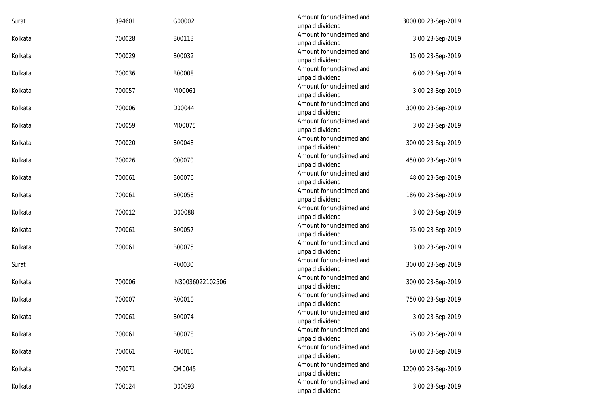| Surat   | 394601 | G00002           | Amount for unclaimed and<br>unpaid dividend | 3000.00 23-Sep-2019 |
|---------|--------|------------------|---------------------------------------------|---------------------|
| Kolkata | 700028 | B00113           | Amount for unclaimed and<br>unpaid dividend | 3.00 23-Sep-2019    |
| Kolkata | 700029 | B00032           | Amount for unclaimed and<br>unpaid dividend | 15.00 23-Sep-2019   |
| Kolkata | 700036 | B00008           | Amount for unclaimed and<br>unpaid dividend | 6.00 23-Sep-2019    |
| Kolkata | 700057 | M00061           | Amount for unclaimed and<br>unpaid dividend | 3.00 23-Sep-2019    |
| Kolkata | 700006 | D00044           | Amount for unclaimed and<br>unpaid dividend | 300.00 23-Sep-2019  |
| Kolkata | 700059 | M00075           | Amount for unclaimed and<br>unpaid dividend | 3.00 23-Sep-2019    |
| Kolkata | 700020 | B00048           | Amount for unclaimed and<br>unpaid dividend | 300.00 23-Sep-2019  |
| Kolkata | 700026 | C00070           | Amount for unclaimed and<br>unpaid dividend | 450.00 23-Sep-2019  |
| Kolkata | 700061 | B00076           | Amount for unclaimed and<br>unpaid dividend | 48.00 23-Sep-2019   |
| Kolkata | 700061 | B00058           | Amount for unclaimed and<br>unpaid dividend | 186.00 23-Sep-2019  |
| Kolkata | 700012 | D00088           | Amount for unclaimed and<br>unpaid dividend | 3.00 23-Sep-2019    |
| Kolkata | 700061 | B00057           | Amount for unclaimed and<br>unpaid dividend | 75.00 23-Sep-2019   |
| Kolkata | 700061 | B00075           | Amount for unclaimed and<br>unpaid dividend | 3.00 23-Sep-2019    |
| Surat   |        | P00030           | Amount for unclaimed and<br>unpaid dividend | 300.00 23-Sep-2019  |
| Kolkata | 700006 | IN30036022102506 | Amount for unclaimed and<br>unpaid dividend | 300.00 23-Sep-2019  |
| Kolkata | 700007 | R00010           | Amount for unclaimed and<br>unpaid dividend | 750.00 23-Sep-2019  |
| Kolkata | 700061 | B00074           | Amount for unclaimed and<br>unpaid dividend | 3.00 23-Sep-2019    |
| Kolkata | 700061 | B00078           | Amount for unclaimed and<br>unpaid dividend | 75.00 23-Sep-2019   |
| Kolkata | 700061 | R00016           | Amount for unclaimed and<br>unpaid dividend | 60.00 23-Sep-2019   |
| Kolkata | 700071 | CM0045           | Amount for unclaimed and<br>unpaid dividend | 1200.00 23-Sep-2019 |
| Kolkata | 700124 | D00093           | Amount for unclaimed and<br>unpaid dividend | 3.00 23-Sep-2019    |
|         |        |                  |                                             |                     |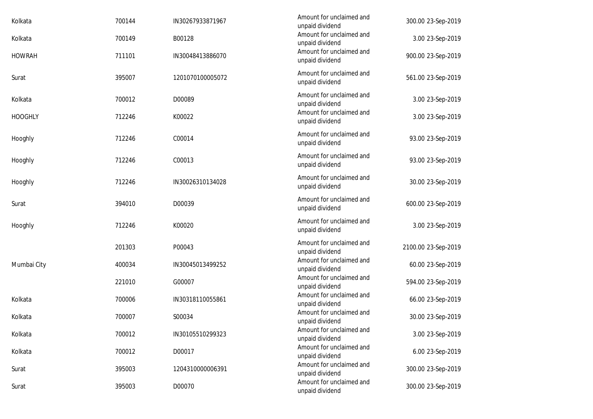| 700144 | IN30267933871967 | unpaid dividend                             | 300.00 23-Sep-2019                                                                         |  |
|--------|------------------|---------------------------------------------|--------------------------------------------------------------------------------------------|--|
| 700149 | B00128           | Amount for unclaimed and<br>unpaid dividend | 3.00 23-Sep-2019                                                                           |  |
| 711101 | IN30048413886070 | Amount for unclaimed and<br>unpaid dividend | 900.00 23-Sep-2019                                                                         |  |
| 395007 | 1201070100005072 | Amount for unclaimed and<br>unpaid dividend | 561.00 23-Sep-2019                                                                         |  |
| 700012 | D00089           | Amount for unclaimed and<br>unpaid dividend | 3.00 23-Sep-2019                                                                           |  |
| 712246 | K00022           | Amount for unclaimed and<br>unpaid dividend | 3.00 23-Sep-2019                                                                           |  |
| 712246 | C00014           | Amount for unclaimed and<br>unpaid dividend | 93.00 23-Sep-2019                                                                          |  |
| 712246 | C00013           | Amount for unclaimed and<br>unpaid dividend | 93.00 23-Sep-2019                                                                          |  |
| 712246 | IN30026310134028 | Amount for unclaimed and<br>unpaid dividend | 30.00 23-Sep-2019                                                                          |  |
| 394010 | D00039           | Amount for unclaimed and<br>unpaid dividend | 600.00 23-Sep-2019                                                                         |  |
| 712246 | K00020           | Amount for unclaimed and<br>unpaid dividend | 3.00 23-Sep-2019                                                                           |  |
| 201303 | P00043           | Amount for unclaimed and<br>unpaid dividend | 2100.00 23-Sep-2019                                                                        |  |
| 400034 | IN30045013499252 | unpaid dividend                             | 60.00 23-Sep-2019                                                                          |  |
| 221010 | G00007           | Amount for unclaimed and<br>unpaid dividend | 594.00 23-Sep-2019                                                                         |  |
| 700006 | IN30318110055861 | Amount for unclaimed and<br>unpaid dividend | 66.00 23-Sep-2019                                                                          |  |
| 700007 | S00034           | Amount for unclaimed and<br>unpaid dividend | 30.00 23-Sep-2019                                                                          |  |
| 700012 | IN30105510299323 | Amount for unclaimed and<br>unpaid dividend | 3.00 23-Sep-2019                                                                           |  |
| 700012 | D00017           | Amount for unclaimed and                    | 6.00 23-Sep-2019                                                                           |  |
| 395003 | 1204310000006391 | Amount for unclaimed and                    | 300.00 23-Sep-2019                                                                         |  |
| 395003 | D00070           | Amount for unclaimed and<br>unpaid dividend | 300.00 23-Sep-2019                                                                         |  |
|        |                  |                                             | Amount for unclaimed and<br>Amount for unclaimed and<br>unpaid dividend<br>unpaid dividend |  |